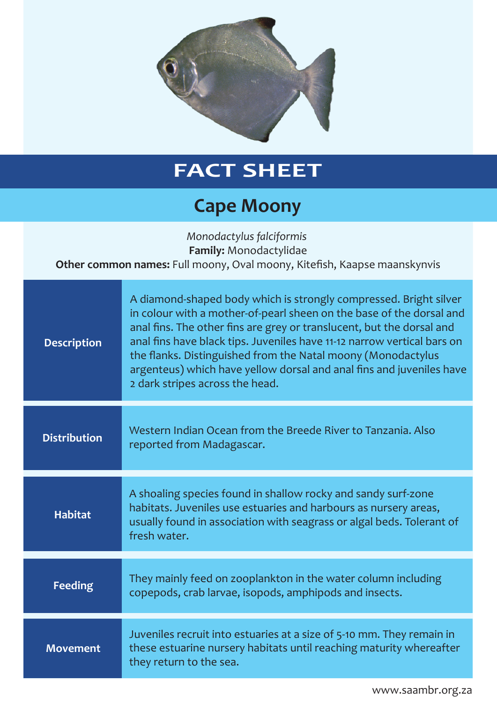

## **FACT SHEET**

## **Cape Moony**

*Monodactylus falciformis*  **Family:** Monodactylidae **Other common names:** Full moony, Oval moony, Kitefish, Kaapse maanskynvis

| <b>Description</b>  | A diamond-shaped body which is strongly compressed. Bright silver<br>in colour with a mother-of-pearl sheen on the base of the dorsal and<br>anal fins. The other fins are grey or translucent, but the dorsal and<br>anal fins have black tips. Juveniles have 11-12 narrow vertical bars on<br>the flanks. Distinguished from the Natal moony (Monodactylus<br>argenteus) which have yellow dorsal and anal fins and juveniles have<br>2 dark stripes across the head. |
|---------------------|--------------------------------------------------------------------------------------------------------------------------------------------------------------------------------------------------------------------------------------------------------------------------------------------------------------------------------------------------------------------------------------------------------------------------------------------------------------------------|
| <b>Distribution</b> | Western Indian Ocean from the Breede River to Tanzania. Also<br>reported from Madagascar.                                                                                                                                                                                                                                                                                                                                                                                |
| <b>Habitat</b>      | A shoaling species found in shallow rocky and sandy surf-zone<br>habitats. Juveniles use estuaries and harbours as nursery areas,<br>usually found in association with seagrass or algal beds. Tolerant of<br>fresh water.                                                                                                                                                                                                                                               |
| <b>Feeding</b>      | They mainly feed on zooplankton in the water column including<br>copepods, crab larvae, isopods, amphipods and insects.                                                                                                                                                                                                                                                                                                                                                  |
| <b>Movement</b>     | Juveniles recruit into estuaries at a size of 5-10 mm. They remain in<br>these estuarine nursery habitats until reaching maturity whereafter<br>they return to the sea.                                                                                                                                                                                                                                                                                                  |